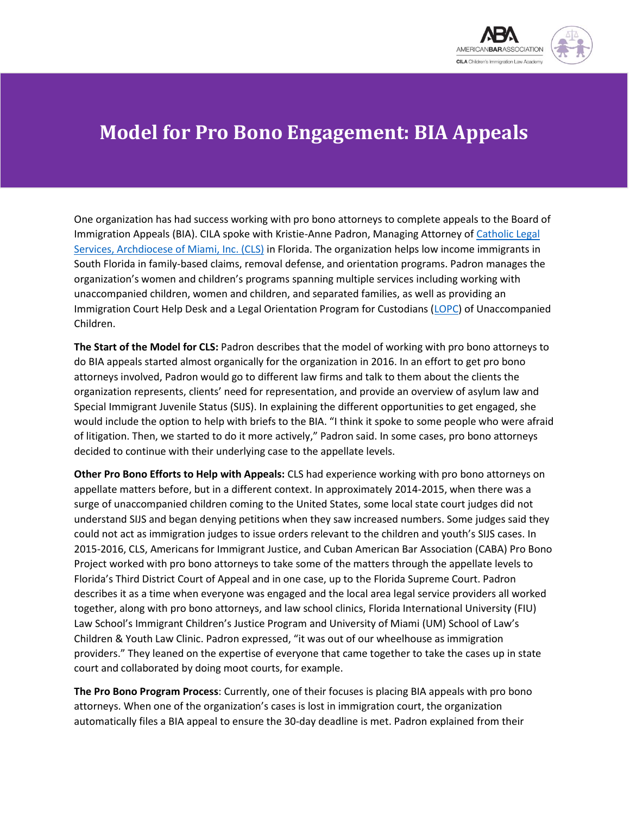

## **Model for Pro Bono Engagement: BIA Appeals**

One organization has had success working with pro bono attorneys to complete appeals to the Board of Immigration Appeals (BIA). CILA spoke with Kristie-Anne Padron, Managing Attorney of [Catholic Legal](https://cclsmiami.org/)  [Services, Archdiocese of Miami, Inc. \(CLS\)](https://cclsmiami.org/) in Florida. The organization helps low income immigrants in South Florida in family-based claims, removal defense, and orientation programs. Padron manages the organization's women and children's programs spanning multiple services including working with unaccompanied children, women and children, and separated families, as well as providing an Immigration Court Help Desk and a Legal Orientation Program for Custodians [\(LOPC\)](https://www.justice.gov/eoir/legal-orientation-program-custodians-unaccompanied-alien-children) of Unaccompanied Children.

**The Start of the Model for CLS:** Padron describes that the model of working with pro bono attorneys to do BIA appeals started almost organically for the organization in 2016. In an effort to get pro bono attorneys involved, Padron would go to different law firms and talk to them about the clients the organization represents, clients' need for representation, and provide an overview of asylum law and Special Immigrant Juvenile Status (SIJS). In explaining the different opportunities to get engaged, she would include the option to help with briefs to the BIA. "I think it spoke to some people who were afraid of litigation. Then, we started to do it more actively," Padron said. In some cases, pro bono attorneys decided to continue with their underlying case to the appellate levels.

**Other Pro Bono Efforts to Help with Appeals:** CLS had experience working with pro bono attorneys on appellate matters before, but in a different context. In approximately 2014-2015, when there was a surge of unaccompanied children coming to the United States, some local state court judges did not understand SIJS and began denying petitions when they saw increased numbers. Some judges said they could not act as immigration judges to issue orders relevant to the children and youth's SIJS cases. In 2015-2016, CLS, Americans for Immigrant Justice, and Cuban American Bar Association (CABA) Pro Bono Project worked with pro bono attorneys to take some of the matters through the appellate levels to Florida's Third District Court of Appeal and in one case, up to the Florida Supreme Court. Padron describes it as a time when everyone was engaged and the local area legal service providers all worked together, along with pro bono attorneys, and law school clinics, Florida International University (FIU) Law School's Immigrant Children's Justice Program and University of Miami (UM) School of Law's Children & Youth Law Clinic. Padron expressed, "it was out of our wheelhouse as immigration providers." They leaned on the expertise of everyone that came together to take the cases up in state court and collaborated by doing moot courts, for example.

**The Pro Bono Program Process**: Currently, one of their focuses is placing BIA appeals with pro bono attorneys. When one of the organization's cases is lost in immigration court, the organization automatically files a BIA appeal to ensure the 30-day deadline is met. Padron explained from their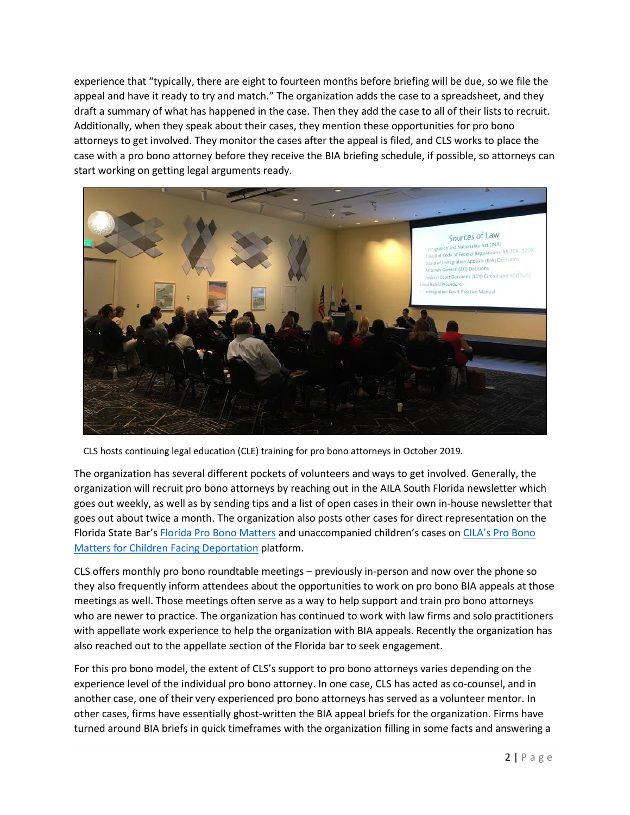experience that "typically, there are eight to fourteen months before briefing will be due, so we file the appeal and have it ready to try and match." The organization adds the case to a spreadsheet, and they draft a summary of what has happened in the case. Then they add the case to all of their lists to recruit. Additionally, when they speak about their cases, they mention these opportunities for pro bono attorneys to get involved. They monitor the cases after the appeal is filed, and CLS works to place the case with a pro bono attorney before they receive the BIA briefing schedule, if possible, so attorneys can start working on getting legal arguments ready.



CLS hosts continuing legal education (CLE) training for pro bono attorneys in October 2019.

The organization has several different pockets of volunteers and ways to get involved. Generally, the organization will recruit pro bono attorneys by reaching out in the AILA South Florida newsletter which goes out weekly, as well as by sending tips and a list of open cases in their own in-house newsletter that goes out about twice a month. The organization also posts other cases for direct representation on the Florida State Bar's [Florida Pro Bono Matters](https://thefloridabarfoundation.org/florida-pro-bono-matters/) and unaccompanied children's cases on [CILA's Pro Bono](http://www.cilacademy.org/pro-bono/pro-bono-matters/)  [Matters for Children Facing Deportation](http://www.cilacademy.org/pro-bono/pro-bono-matters/) platform.

CLS offers monthly pro bono roundtable meetings – previously in-person and now over the phone so they also frequently inform attendees about the opportunities to work on pro bono BIA appeals at those meetings as well. Those meetings often serve as a way to help support and train pro bono attorneys who are newer to practice. The organization has continued to work with law firms and solo practitioners with appellate work experience to help the organization with BIA appeals. Recently the organization has also reached out to the appellate section of the Florida bar to seek engagement.

For this pro bono model, the extent of CLS's support to pro bono attorneys varies depending on the experience level of the individual pro bono attorney. In one case, CLS has acted as co-counsel, and in another case, one of their very experienced pro bono attorneys has served as a volunteer mentor. In other cases, firms have essentially ghost-written the BIA appeal briefs for the organization. Firms have turned around BIA briefs in quick timeframes with the organization filling in some facts and answering a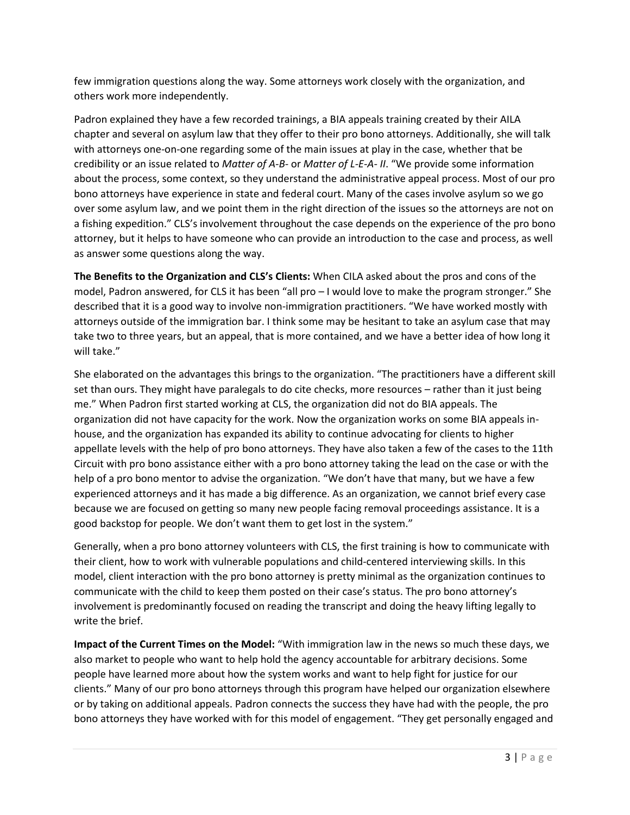few immigration questions along the way. Some attorneys work closely with the organization, and others work more independently.

Padron explained they have a few recorded trainings, a BIA appeals training created by their AILA chapter and several on asylum law that they offer to their pro bono attorneys. Additionally, she will talk with attorneys one-on-one regarding some of the main issues at play in the case, whether that be credibility or an issue related to *Matter of A-B-* or *Matter of L-E-A- II*. "We provide some information about the process, some context, so they understand the administrative appeal process. Most of our pro bono attorneys have experience in state and federal court. Many of the cases involve asylum so we go over some asylum law, and we point them in the right direction of the issues so the attorneys are not on a fishing expedition." CLS's involvement throughout the case depends on the experience of the pro bono attorney, but it helps to have someone who can provide an introduction to the case and process, as well as answer some questions along the way.

**The Benefits to the Organization and CLS's Clients:** When CILA asked about the pros and cons of the model, Padron answered, for CLS it has been "all pro – I would love to make the program stronger." She described that it is a good way to involve non-immigration practitioners. "We have worked mostly with attorneys outside of the immigration bar. I think some may be hesitant to take an asylum case that may take two to three years, but an appeal, that is more contained, and we have a better idea of how long it will take."

She elaborated on the advantages this brings to the organization. "The practitioners have a different skill set than ours. They might have paralegals to do cite checks, more resources – rather than it just being me." When Padron first started working at CLS, the organization did not do BIA appeals. The organization did not have capacity for the work. Now the organization works on some BIA appeals inhouse, and the organization has expanded its ability to continue advocating for clients to higher appellate levels with the help of pro bono attorneys. They have also taken a few of the cases to the 11th Circuit with pro bono assistance either with a pro bono attorney taking the lead on the case or with the help of a pro bono mentor to advise the organization. "We don't have that many, but we have a few experienced attorneys and it has made a big difference. As an organization, we cannot brief every case because we are focused on getting so many new people facing removal proceedings assistance. It is a good backstop for people. We don't want them to get lost in the system."

Generally, when a pro bono attorney volunteers with CLS, the first training is how to communicate with their client, how to work with vulnerable populations and child-centered interviewing skills. In this model, client interaction with the pro bono attorney is pretty minimal as the organization continues to communicate with the child to keep them posted on their case's status. The pro bono attorney's involvement is predominantly focused on reading the transcript and doing the heavy lifting legally to write the brief.

**Impact of the Current Times on the Model:** "With immigration law in the news so much these days, we also market to people who want to help hold the agency accountable for arbitrary decisions. Some people have learned more about how the system works and want to help fight for justice for our clients." Many of our pro bono attorneys through this program have helped our organization elsewhere or by taking on additional appeals. Padron connects the success they have had with the people, the pro bono attorneys they have worked with for this model of engagement. "They get personally engaged and